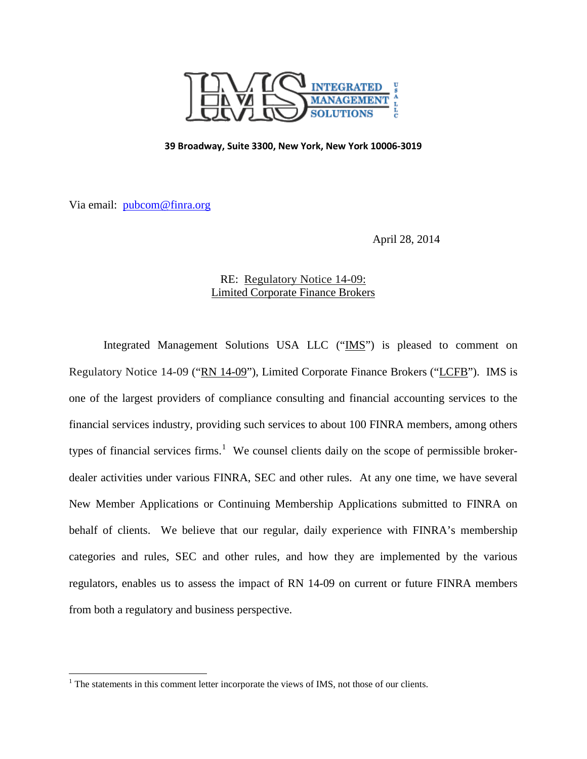

#### **39 Broadway, Suite 3300, New York, New York 10006-3019**

Via email: [pubcom@finra.org](mailto:pubcom@finra.org)

l

April 28, 2014

# RE: Regulatory Notice 14-09: Limited Corporate Finance Brokers

Integrated Management Solutions USA LLC ("IMS") is pleased to comment on Regulatory Notice 14-09 ("RN 14-09"), Limited Corporate Finance Brokers ("LCFB"). IMS is one of the largest providers of compliance consulting and financial accounting services to the financial services industry, providing such services to about 100 FINRA members, among others types of financial services firms.<sup>[1](#page-0-0)</sup> We counsel clients daily on the scope of permissible brokerdealer activities under various FINRA, SEC and other rules. At any one time, we have several New Member Applications or Continuing Membership Applications submitted to FINRA on behalf of clients. We believe that our regular, daily experience with FINRA's membership categories and rules, SEC and other rules, and how they are implemented by the various regulators, enables us to assess the impact of RN 14-09 on current or future FINRA members from both a regulatory and business perspective.

<span id="page-0-0"></span> $<sup>1</sup>$  The statements in this comment letter incorporate the views of IMS, not those of our clients.</sup>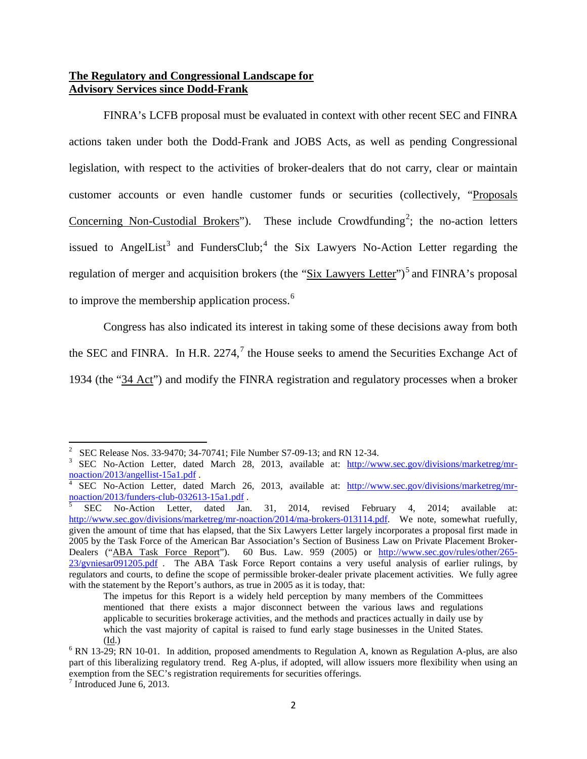## **The Regulatory and Congressional Landscape for Advisory Services since Dodd-Frank**

FINRA's LCFB proposal must be evaluated in context with other recent SEC and FINRA actions taken under both the Dodd-Frank and JOBS Acts, as well as pending Congressional legislation, with respect to the activities of broker-dealers that do not carry, clear or maintain customer accounts or even handle customer funds or securities (collectively, "Proposals Concerning Non-Custodial Brokers"). These include Crowdfunding<sup>[2](#page-1-0)</sup>; the no-action letters issued to AngelList<sup>[3](#page-1-1)</sup> and FundersClub;<sup>[4](#page-1-2)</sup> the Six Lawyers No-Action Letter regarding the regulation of merger and acquisition brokers (the "Six Lawyers Letter")<sup>[5](#page-1-3)</sup> and FINRA's proposal to improve the membership application process.<sup>[6](#page-1-4)</sup>

Congress has also indicated its interest in taking some of these decisions away from both the SEC and FINRA. In H.R.  $2274$  $2274$  $2274$ ,  $\frac{7}{1}$  the House seeks to amend the Securities Exchange Act of 1934 (the "34 Act") and modify the FINRA registration and regulatory processes when a broker

l

<span id="page-1-1"></span><span id="page-1-0"></span><sup>&</sup>lt;sup>2</sup> SEC Release Nos. 33-9470; 34-70741; File Number S7-09-13; and RN 12-34.<br><sup>3</sup> SEC No-Action Letter, dated March 28, 2013, available at:  $\frac{http://www.sec.gov/divisions/marketreg/mr-noaction/2013/angellist-15a1.pdf.$ 

<span id="page-1-2"></span>SEC No-Action Letter, dated March 26, 2013, available at: [http://www.sec.gov/divisions/marketreg/mr-](http://www.sec.gov/divisions/marketreg/mr-noaction/2013/funders-club-032613-15a1.pdf) $\frac{\text{maction}/2013/\text{funders-club}-032613-15a1.pdf}}{\text{SEC}}$ .<br>
Sec No-Action Letter, dated Jan. 31, 2014, revised February 4, 2014; available at:

<span id="page-1-3"></span>[http://www.sec.gov/divisions/marketreg/mr-noaction/2014/ma-brokers-013114.pdf.](http://www.sec.gov/divisions/marketreg/mr-noaction/2014/ma-brokers-013114.pdf) We note, somewhat ruefully, given the amount of time that has elapsed, that the Six Lawyers Letter largely incorporates a proposal first made in 2005 by the Task Force of the American Bar Association's Section of Business Law on Private Placement BrokerDealers ("ABA Task Force Report"). 60 Bus. Law. 959 (2005) or [http://www.sec.gov/rules/other/265-](http://www.sec.gov/rules/other/265-23/gvniesar091205.pdf) [23/gvniesar091205.pdf](http://www.sec.gov/rules/other/265-23/gvniesar091205.pdf) . The ABA Task Force Report contains a very useful analysis of earlier rulings, by regulators and courts, to define the scope of permissible broker-dealer private placement activities. We fully agree with the statement by the Report's authors, as true in 2005 as it is today, that:

The impetus for this Report is a widely held perception by many members of the Committees mentioned that there exists a major disconnect between the various laws and regulations applicable to securities brokerage activities, and the methods and practices actually in daily use by which the vast majority of capital is raised to fund early stage businesses in the United States.

<span id="page-1-4"></span><sup>(</sup>Id.)<br><sup>6</sup> RN 13-29; RN 10-01. In addition, proposed amendments to Regulation A, known as Regulation A-plus, are also part of this liberalizing regulatory trend. Reg A-plus, if adopted, will allow issuers more flexibility when using an exemption from the SEC's registration requirements for securities offerings.<br><sup>7</sup> Introduced June 6, 2013.

<span id="page-1-5"></span>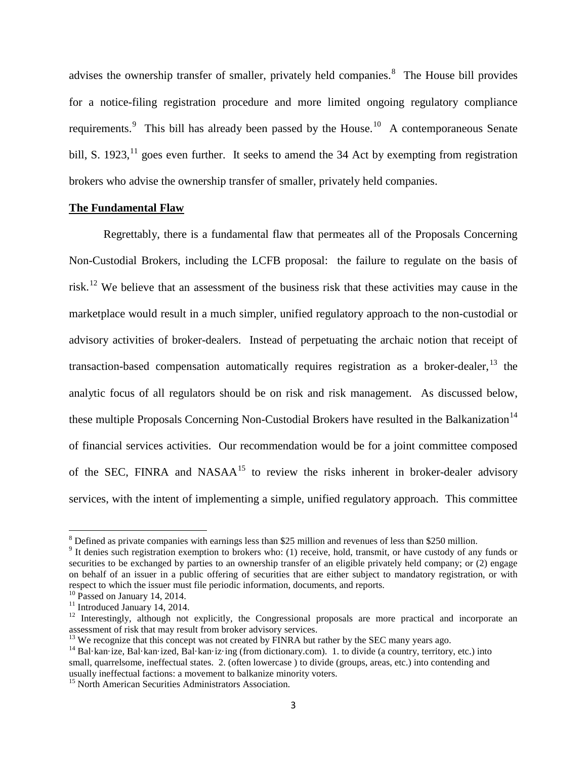advises the ownership transfer of smaller, privately held companies.<sup>[8](#page-2-0)</sup> The House bill provides for a notice-filing registration procedure and more limited ongoing regulatory compliance requirements.<sup>[9](#page-2-1)</sup> This bill has already been passed by the House.<sup>10</sup> A contemporaneous Senate bill, S. 1923, $^{11}$  $^{11}$  $^{11}$  goes even further. It seeks to amend the 34 Act by exempting from registration brokers who advise the ownership transfer of smaller, privately held companies.

## **The Fundamental Flaw**

Regrettably, there is a fundamental flaw that permeates all of the Proposals Concerning Non-Custodial Brokers, including the LCFB proposal: the failure to regulate on the basis of risk.[12](#page-2-4) We believe that an assessment of the business risk that these activities may cause in the marketplace would result in a much simpler, unified regulatory approach to the non-custodial or advisory activities of broker-dealers. Instead of perpetuating the archaic notion that receipt of transaction-based compensation automatically requires registration as a broker-dealer, <sup>[13](#page-2-5)</sup> the analytic focus of all regulators should be on risk and risk management. As discussed below, these multiple Proposals Concerning Non-Custodial Brokers have resulted in the Balkanization<sup>[14](#page-2-6)</sup> of financial services activities. Our recommendation would be for a joint committee composed of the SEC, FINRA and NASA $A^{15}$  $A^{15}$  $A^{15}$  to review the risks inherent in broker-dealer advisory services, with the intent of implementing a simple, unified regulatory approach. This committee

 $\overline{\phantom{a}}$ 

<span id="page-2-0"></span> $8$  Defined as private companies with earnings less than \$25 million and revenues of less than \$250 million.

<span id="page-2-1"></span><sup>&</sup>lt;sup>9</sup> It denies such registration exemption to brokers who: (1) receive, hold, transmit, or have custody of any funds or securities to be exchanged by parties to an ownership transfer of an eligible privately held company; or (2) engage on behalf of an issuer in a public offering of securities that are either subject to mandatory registration, or with respect to which the issuer must file periodic information, documents, and reports.<br><sup>10</sup> Passed on January 14, 2014.

<span id="page-2-2"></span>

<span id="page-2-4"></span><span id="page-2-3"></span><sup>&</sup>lt;sup>11</sup> Introduced January 14, 2014.<br><sup>12</sup> Interestingly, although not explicitly, the Congressional proposals are more practical and incorporate an assessment of risk that may result from broker advisory services.<br><sup>13</sup> We recognize that this concept was not created by FINRA but rather by the SEC many years ago.

<span id="page-2-5"></span>

<span id="page-2-6"></span><sup>&</sup>lt;sup>14</sup> Bal·kan·ize, Bal·kan·ized, Bal·kan·iz·ing (from dictionary.com). 1. to divide (a country, territory, etc.) into small, quarrelsome, ineffectual states. 2. (often lowercase ) to divide (groups, areas, etc.) into contending and usually ineffectual factions: a movement to balkanize minority voters.

<span id="page-2-7"></span><sup>&</sup>lt;sup>15</sup> North American Securities Administrators Association.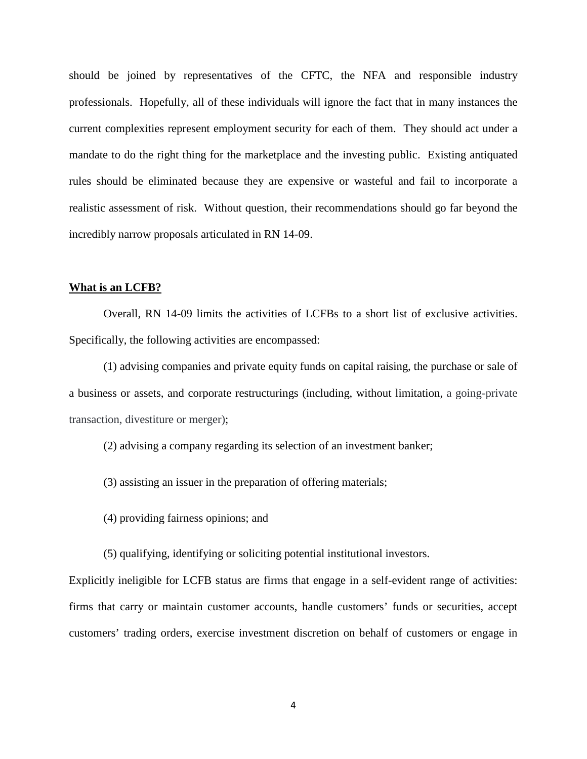should be joined by representatives of the CFTC, the NFA and responsible industry professionals. Hopefully, all of these individuals will ignore the fact that in many instances the current complexities represent employment security for each of them. They should act under a mandate to do the right thing for the marketplace and the investing public. Existing antiquated rules should be eliminated because they are expensive or wasteful and fail to incorporate a realistic assessment of risk. Without question, their recommendations should go far beyond the incredibly narrow proposals articulated in RN 14-09.

## **What is an LCFB?**

Overall, RN 14-09 limits the activities of LCFBs to a short list of exclusive activities. Specifically, the following activities are encompassed:

(1) advising companies and private equity funds on capital raising, the purchase or sale of a business or assets, and corporate restructurings (including, without limitation, a going-private transaction, divestiture or merger);

(2) advising a company regarding its selection of an investment banker;

- (3) assisting an issuer in the preparation of offering materials;
- (4) providing fairness opinions; and
- (5) qualifying, identifying or soliciting potential institutional investors.

Explicitly ineligible for LCFB status are firms that engage in a self-evident range of activities: firms that carry or maintain customer accounts, handle customers' funds or securities, accept customers' trading orders, exercise investment discretion on behalf of customers or engage in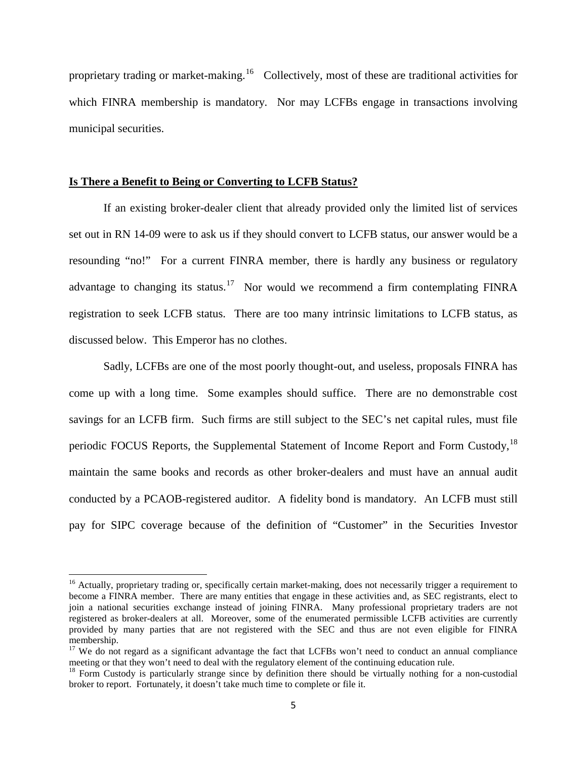proprietary trading or market-making.<sup>16</sup> Collectively, most of these are traditional activities for which FINRA membership is mandatory. Nor may LCFBs engage in transactions involving municipal securities.

## **Is There a Benefit to Being or Converting to LCFB Status?**

l

If an existing broker-dealer client that already provided only the limited list of services set out in RN 14-09 were to ask us if they should convert to LCFB status, our answer would be a resounding "no!" For a current FINRA member, there is hardly any business or regulatory advantage to changing its status.<sup>17</sup> Nor would we recommend a firm contemplating FINRA registration to seek LCFB status. There are too many intrinsic limitations to LCFB status, as discussed below. This Emperor has no clothes.

Sadly, LCFBs are one of the most poorly thought-out, and useless, proposals FINRA has come up with a long time. Some examples should suffice. There are no demonstrable cost savings for an LCFB firm. Such firms are still subject to the SEC's net capital rules, must file periodic FOCUS Reports, the Supplemental Statement of Income Report and Form Custody, [18](#page-4-2) maintain the same books and records as other broker-dealers and must have an annual audit conducted by a PCAOB-registered auditor. A fidelity bond is mandatory. An LCFB must still pay for SIPC coverage because of the definition of "Customer" in the Securities Investor

<span id="page-4-0"></span><sup>&</sup>lt;sup>16</sup> Actually, proprietary trading or, specifically certain market-making, does not necessarily trigger a requirement to become a FINRA member. There are many entities that engage in these activities and, as SEC registrants, elect to join a national securities exchange instead of joining FINRA. Many professional proprietary traders are not registered as broker-dealers at all. Moreover, some of the enumerated permissible LCFB activities are currently provided by many parties that are not registered with the SEC and thus are not even eligible for FINRA membership.

<span id="page-4-1"></span><sup>&</sup>lt;sup>17</sup> We do not regard as a significant advantage the fact that LCFBs won't need to conduct an annual compliance meeting or that they won't need to deal with the regulatory element of the continuing education rule.<br><sup>18</sup> Form Custody is particularly strange since by definition there should be virtually nothing for a non-custodial

<span id="page-4-2"></span>broker to report. Fortunately, it doesn't take much time to complete or file it.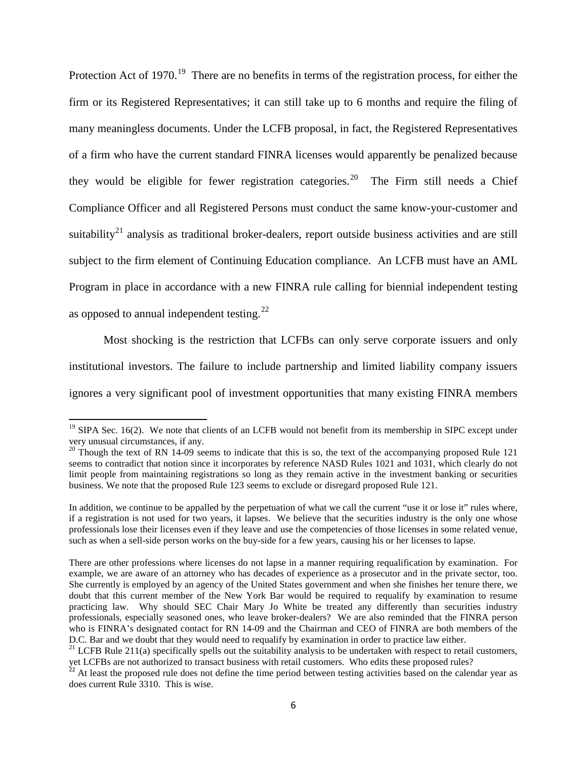Protection Act of 1970.<sup>19</sup> There are no benefits in terms of the registration process, for either the firm or its Registered Representatives; it can still take up to 6 months and require the filing of many meaningless documents. Under the LCFB proposal, in fact, the Registered Representatives of a firm who have the current standard FINRA licenses would apparently be penalized because they would be eligible for fewer registration categories.<sup>20</sup> The Firm still needs a Chief Compliance Officer and all Registered Persons must conduct the same know-your-customer and suitability<sup>[21](#page-5-2)</sup> analysis as traditional broker-dealers, report outside business activities and are still subject to the firm element of Continuing Education compliance. An LCFB must have an AML Program in place in accordance with a new FINRA rule calling for biennial independent testing as opposed to annual independent testing. $^{22}$ 

Most shocking is the restriction that LCFBs can only serve corporate issuers and only institutional investors. The failure to include partnership and limited liability company issuers ignores a very significant pool of investment opportunities that many existing FINRA members

 $\overline{\phantom{a}}$ 

<span id="page-5-0"></span><sup>&</sup>lt;sup>19</sup> SIPA Sec. 16(2). We note that clients of an LCFB would not benefit from its membership in SIPC except under very unusual circumstances, if any.

<span id="page-5-1"></span><sup>&</sup>lt;sup>20</sup> Though the text of RN 14-09 seems to indicate that this is so, the text of the accompanying proposed Rule 121 seems to contradict that notion since it incorporates by reference NASD Rules 1021 and 1031, which clearly do not limit people from maintaining registrations so long as they remain active in the investment banking or securities business. We note that the proposed Rule 123 seems to exclude or disregard proposed Rule 121.

In addition, we continue to be appalled by the perpetuation of what we call the current "use it or lose it" rules where, if a registration is not used for two years, it lapses. We believe that the securities industry is the only one whose professionals lose their licenses even if they leave and use the competencies of those licenses in some related venue, such as when a sell-side person works on the buy-side for a few years, causing his or her licenses to lapse.

There are other professions where licenses do not lapse in a manner requiring requalification by examination. For example, we are aware of an attorney who has decades of experience as a prosecutor and in the private sector, too. She currently is employed by an agency of the United States government and when she finishes her tenure there, we doubt that this current member of the New York Bar would be required to requalify by examination to resume practicing law. Why should SEC Chair Mary Jo White be treated any differently than securities industry professionals, especially seasoned ones, who leave broker-dealers? We are also reminded that the FINRA person who is FINRA's designated contact for RN 14-09 and the Chairman and CEO of FINRA are both members of the D.C. Bar and we doubt that they would need to requalify by examination in order to practice law either.

<span id="page-5-2"></span> $^{21}$  LCFB Rule 211(a) specifically spells out the suitability analysis to be undertaken with respect to retail customers, yet LCFBs are not authorized to transact business with retail customers. Who edits these proposed rules? <sup>22</sup> At least the proposed rule does not define the time period between testing activities based on the calendar year as

<span id="page-5-3"></span>does current Rule 3310. This is wise.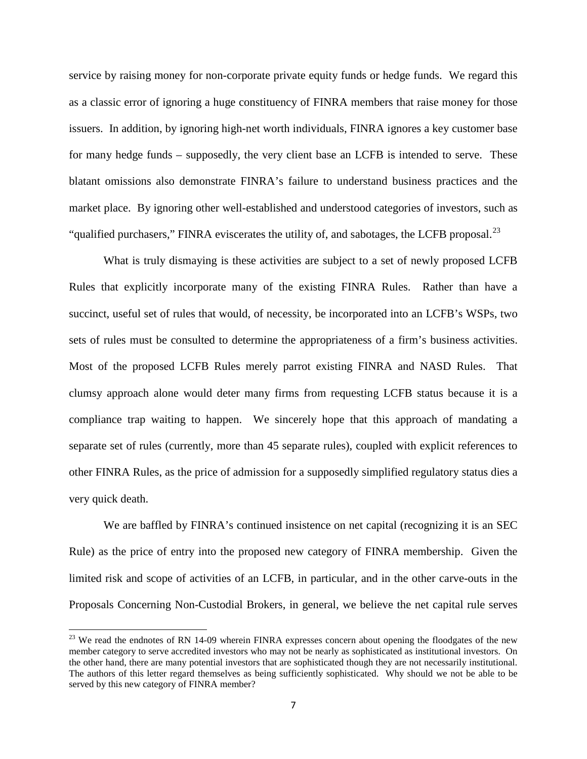service by raising money for non-corporate private equity funds or hedge funds. We regard this as a classic error of ignoring a huge constituency of FINRA members that raise money for those issuers. In addition, by ignoring high-net worth individuals, FINRA ignores a key customer base for many hedge funds – supposedly, the very client base an LCFB is intended to serve. These blatant omissions also demonstrate FINRA's failure to understand business practices and the market place. By ignoring other well-established and understood categories of investors, such as "qualified purchasers," FINRA eviscerates the utility of, and sabotages, the LCFB proposal.<sup>[23](#page-6-0)</sup>

What is truly dismaying is these activities are subject to a set of newly proposed LCFB Rules that explicitly incorporate many of the existing FINRA Rules. Rather than have a succinct, useful set of rules that would, of necessity, be incorporated into an LCFB's WSPs, two sets of rules must be consulted to determine the appropriateness of a firm's business activities. Most of the proposed LCFB Rules merely parrot existing FINRA and NASD Rules. That clumsy approach alone would deter many firms from requesting LCFB status because it is a compliance trap waiting to happen. We sincerely hope that this approach of mandating a separate set of rules (currently, more than 45 separate rules), coupled with explicit references to other FINRA Rules, as the price of admission for a supposedly simplified regulatory status dies a very quick death.

We are baffled by FINRA's continued insistence on net capital (recognizing it is an SEC Rule) as the price of entry into the proposed new category of FINRA membership. Given the limited risk and scope of activities of an LCFB, in particular, and in the other carve-outs in the Proposals Concerning Non-Custodial Brokers, in general, we believe the net capital rule serves

 $\overline{\phantom{a}}$ 

<span id="page-6-0"></span> $^{23}$  We read the endnotes of RN 14-09 wherein FINRA expresses concern about opening the floodgates of the new member category to serve accredited investors who may not be nearly as sophisticated as institutional investors. On the other hand, there are many potential investors that are sophisticated though they are not necessarily institutional. The authors of this letter regard themselves as being sufficiently sophisticated. Why should we not be able to be served by this new category of FINRA member?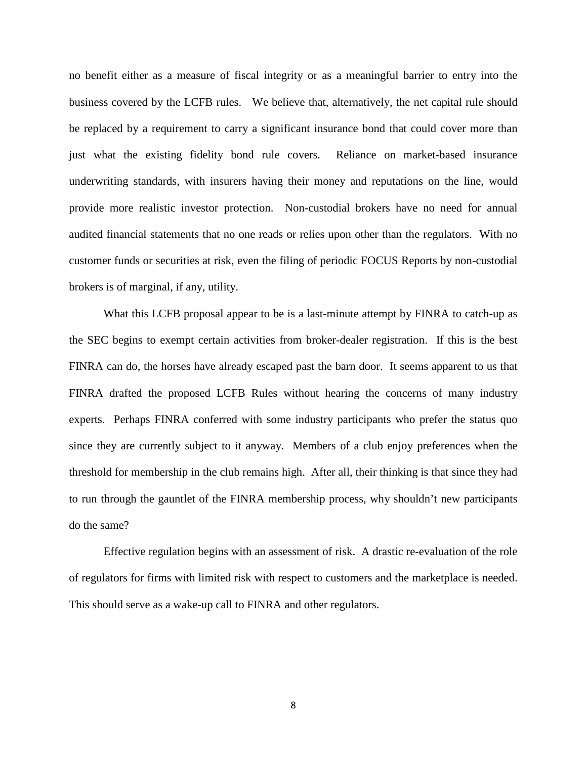no benefit either as a measure of fiscal integrity or as a meaningful barrier to entry into the business covered by the LCFB rules. We believe that, alternatively, the net capital rule should be replaced by a requirement to carry a significant insurance bond that could cover more than just what the existing fidelity bond rule covers. Reliance on market-based insurance underwriting standards, with insurers having their money and reputations on the line, would provide more realistic investor protection. Non-custodial brokers have no need for annual audited financial statements that no one reads or relies upon other than the regulators. With no customer funds or securities at risk, even the filing of periodic FOCUS Reports by non-custodial brokers is of marginal, if any, utility.

What this LCFB proposal appear to be is a last-minute attempt by FINRA to catch-up as the SEC begins to exempt certain activities from broker-dealer registration. If this is the best FINRA can do, the horses have already escaped past the barn door. It seems apparent to us that FINRA drafted the proposed LCFB Rules without hearing the concerns of many industry experts. Perhaps FINRA conferred with some industry participants who prefer the status quo since they are currently subject to it anyway. Members of a club enjoy preferences when the threshold for membership in the club remains high. After all, their thinking is that since they had to run through the gauntlet of the FINRA membership process, why shouldn't new participants do the same?

Effective regulation begins with an assessment of risk. A drastic re-evaluation of the role of regulators for firms with limited risk with respect to customers and the marketplace is needed. This should serve as a wake-up call to FINRA and other regulators.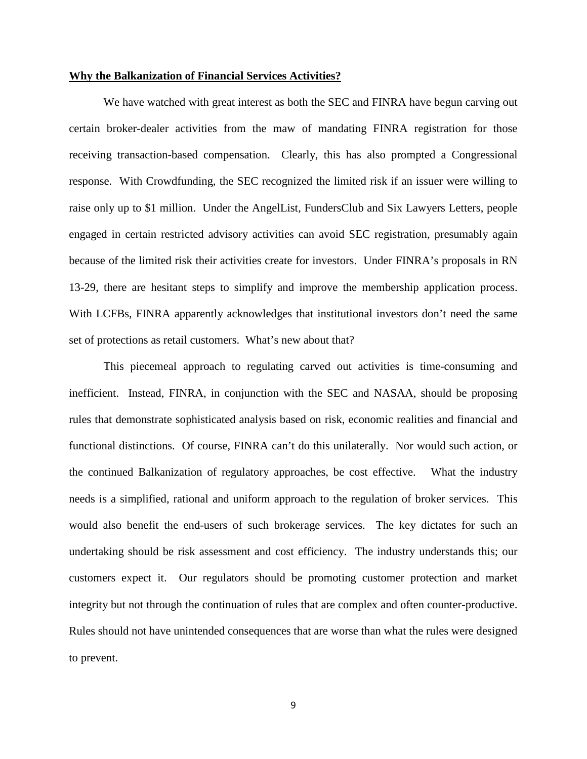#### **Why the Balkanization of Financial Services Activities?**

We have watched with great interest as both the SEC and FINRA have begun carving out certain broker-dealer activities from the maw of mandating FINRA registration for those receiving transaction-based compensation. Clearly, this has also prompted a Congressional response. With Crowdfunding, the SEC recognized the limited risk if an issuer were willing to raise only up to \$1 million. Under the AngelList, FundersClub and Six Lawyers Letters, people engaged in certain restricted advisory activities can avoid SEC registration, presumably again because of the limited risk their activities create for investors. Under FINRA's proposals in RN 13-29, there are hesitant steps to simplify and improve the membership application process. With LCFBs, FINRA apparently acknowledges that institutional investors don't need the same set of protections as retail customers. What's new about that?

This piecemeal approach to regulating carved out activities is time-consuming and inefficient. Instead, FINRA, in conjunction with the SEC and NASAA, should be proposing rules that demonstrate sophisticated analysis based on risk, economic realities and financial and functional distinctions. Of course, FINRA can't do this unilaterally. Nor would such action, or the continued Balkanization of regulatory approaches, be cost effective. What the industry needs is a simplified, rational and uniform approach to the regulation of broker services. This would also benefit the end-users of such brokerage services. The key dictates for such an undertaking should be risk assessment and cost efficiency. The industry understands this; our customers expect it. Our regulators should be promoting customer protection and market integrity but not through the continuation of rules that are complex and often counter-productive. Rules should not have unintended consequences that are worse than what the rules were designed to prevent.